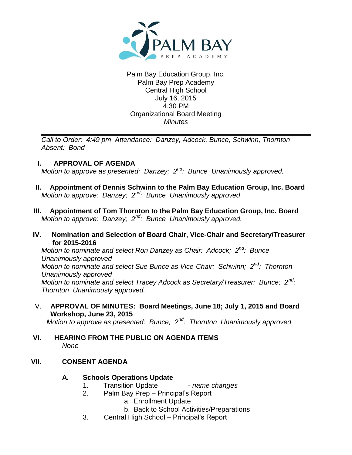

### Palm Bay Education Group, Inc. Palm Bay Prep Academy Central High School July 16, 2015 4:30 PM Organizational Board Meeting *Minutes*

*Call to Order: 4:49 pm Attendance: Danzey, Adcock, Bunce, Schwinn, Thornton Absent: Bond*

# **I. APPROVAL OF AGENDA**

*Motion to approve as presented: Danzey; 2nd: Bunce Unanimously approved.*

- **II. Appointment of Dennis Schwinn to the Palm Bay Education Group, Inc. Board** *Motion to approve: Danzey; 2nd: Bunce Unanimously approved*
- **III. Appointment of Tom Thornton to the Palm Bay Education Group, Inc. Board** *Motion to approve: Danzey; 2nd: Bunce Unanimously approved.*

## **IV. Nomination and Selection of Board Chair, Vice-Chair and Secretary/Treasurer for 2015-2016**

*Motion to nominate and select Ron Danzey as Chair: Adcock; 2nd: Bunce Unanimously approved Motion to nominate and select Sue Bunce as Vice-Chair: Schwinn; 2nd: Thornton Unanimously approved Motion to nominate and select Tracey Adcock as Secretary/Treasurer: Bunce; 2nd: Thornton Unanimously approved.*

V. **APPROVAL OF MINUTES: Board Meetings, June 18; July 1, 2015 and Board Workshop, June 23, 2015**

*Motion to approve as presented: Bunce; 2nd: Thornton Unanimously approved* 

## **VI. HEARING FROM THE PUBLIC ON AGENDA ITEMS** *None*

# **VII. CONSENT AGENDA**

# **A. Schools Operations Update**

- 1. Transition Update *name changes*
- 2. Palm Bay Prep Principal's Report
	- a. Enrollment Update
	- b. Back to School Activities/Preparations
- 3. Central High School Principal's Report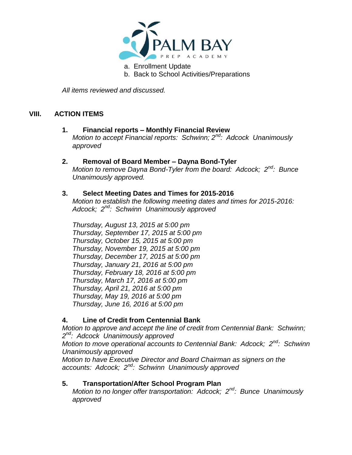

a. Enrollment Update

b. Back to School Activities/Preparations

*All items reviewed and discussed.*

# **VIII. ACTION ITEMS**

#### **1. Financial reports – Monthly Financial Review** *Motion to accept Financial reports: Schwinn; 2nd: Adcock Unanimously approved*

## **2. Removal of Board Member – Dayna Bond-Tyler** *Motion to remove Dayna Bond-Tyler from the board: Adcock; 2nd: Bunce*

*Unanimously approved.*

## **3. Select Meeting Dates and Times for 2015-2016**

*Motion to establish the following meeting dates and times for 2015-2016: Adcock; 2nd: Schwinn Unanimously approved*

*Thursday, August 13, 2015 at 5:00 pm Thursday, September 17, 2015 at 5:00 pm Thursday, October 15, 2015 at 5:00 pm Thursday, November 19, 2015 at 5:00 pm Thursday, December 17, 2015 at 5:00 pm Thursday, January 21, 2016 at 5:00 pm Thursday, February 18, 2016 at 5:00 pm Thursday, March 17, 2016 at 5:00 pm Thursday, April 21, 2016 at 5:00 pm Thursday, May 19, 2016 at 5:00 pm Thursday, June 16, 2016 at 5:00 pm*

# **4. Line of Credit from Centennial Bank**

*Motion to approve and accept the line of credit from Centennial Bank: Schwinn; 2 nd: Adcock Unanimously approved Motion to move operational accounts to Centennial Bank: Adcock; 2nd: Schwinn Unanimously approved Motion to have Executive Director and Board Chairman as signers on the accounts: Adcock; 2nd: Schwinn Unanimously approved*

### **5. Transportation/After School Program Plan**

*Motion to no longer offer transportation: Adcock; 2nd: Bunce Unanimously approved*